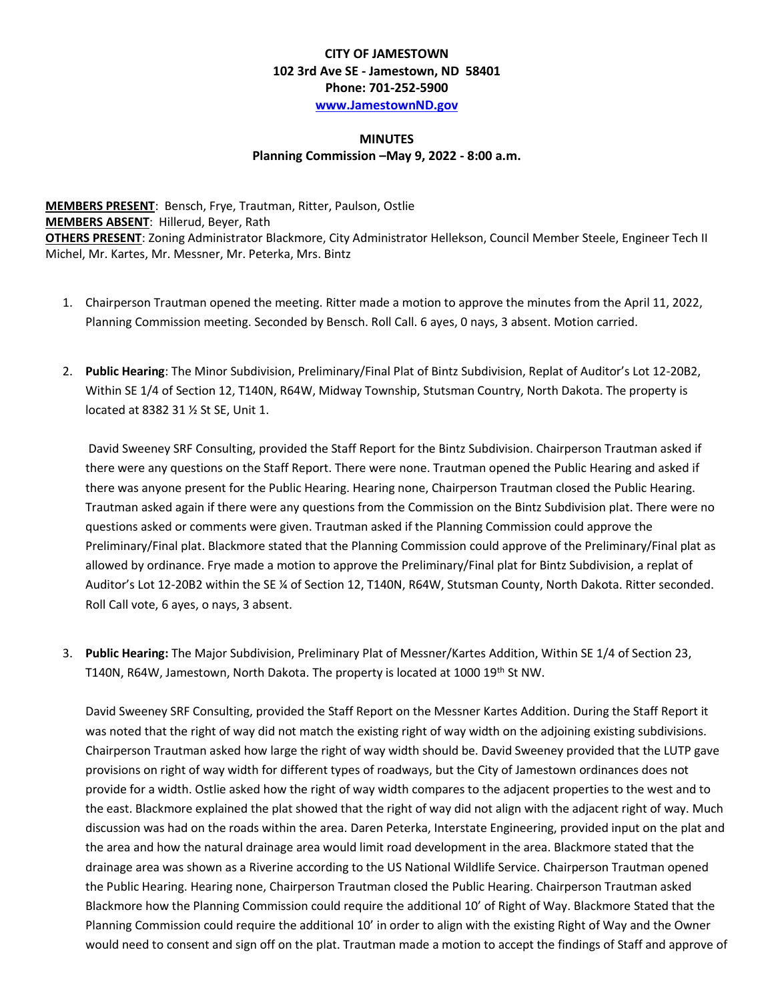## **CITY OF JAMESTOWN 102 3rd Ave SE - Jamestown, ND 58401 Phone: 701-252-5900 [www.JamestownND.gov](http://www.jamestownnd.gov/)**

## **MINUTES Planning Commission –May 9, 2022 - 8:00 a.m.**

**MEMBERS PRESENT**: Bensch, Frye, Trautman, Ritter, Paulson, Ostlie **MEMBERS ABSENT**: Hillerud, Beyer, Rath **OTHERS PRESENT**: Zoning Administrator Blackmore, City Administrator Hellekson, Council Member Steele, Engineer Tech II Michel, Mr. Kartes, Mr. Messner, Mr. Peterka, Mrs. Bintz

- 1. Chairperson Trautman opened the meeting. Ritter made a motion to approve the minutes from the April 11, 2022, Planning Commission meeting. Seconded by Bensch. Roll Call. 6 ayes, 0 nays, 3 absent. Motion carried.
- 2. **Public Hearing**: The Minor Subdivision, Preliminary/Final Plat of Bintz Subdivision, Replat of Auditor's Lot 12-20B2, Within SE 1/4 of Section 12, T140N, R64W, Midway Township, Stutsman Country, North Dakota. The property is located at 8382 31 ½ St SE, Unit 1.

David Sweeney SRF Consulting, provided the Staff Report for the Bintz Subdivision. Chairperson Trautman asked if there were any questions on the Staff Report. There were none. Trautman opened the Public Hearing and asked if there was anyone present for the Public Hearing. Hearing none, Chairperson Trautman closed the Public Hearing. Trautman asked again if there were any questions from the Commission on the Bintz Subdivision plat. There were no questions asked or comments were given. Trautman asked if the Planning Commission could approve the Preliminary/Final plat. Blackmore stated that the Planning Commission could approve of the Preliminary/Final plat as allowed by ordinance. Frye made a motion to approve the Preliminary/Final plat for Bintz Subdivision, a replat of Auditor's Lot 12-20B2 within the SE ¼ of Section 12, T140N, R64W, Stutsman County, North Dakota. Ritter seconded. Roll Call vote, 6 ayes, o nays, 3 absent.

3. **Public Hearing:** The Major Subdivision, Preliminary Plat of Messner/Kartes Addition, Within SE 1/4 of Section 23, T140N, R64W, Jamestown, North Dakota. The property is located at 1000 19th St NW.

David Sweeney SRF Consulting, provided the Staff Report on the Messner Kartes Addition. During the Staff Report it was noted that the right of way did not match the existing right of way width on the adjoining existing subdivisions. Chairperson Trautman asked how large the right of way width should be. David Sweeney provided that the LUTP gave provisions on right of way width for different types of roadways, but the City of Jamestown ordinances does not provide for a width. Ostlie asked how the right of way width compares to the adjacent properties to the west and to the east. Blackmore explained the plat showed that the right of way did not align with the adjacent right of way. Much discussion was had on the roads within the area. Daren Peterka, Interstate Engineering, provided input on the plat and the area and how the natural drainage area would limit road development in the area. Blackmore stated that the drainage area was shown as a Riverine according to the US National Wildlife Service. Chairperson Trautman opened the Public Hearing. Hearing none, Chairperson Trautman closed the Public Hearing. Chairperson Trautman asked Blackmore how the Planning Commission could require the additional 10' of Right of Way. Blackmore Stated that the Planning Commission could require the additional 10' in order to align with the existing Right of Way and the Owner would need to consent and sign off on the plat. Trautman made a motion to accept the findings of Staff and approve of